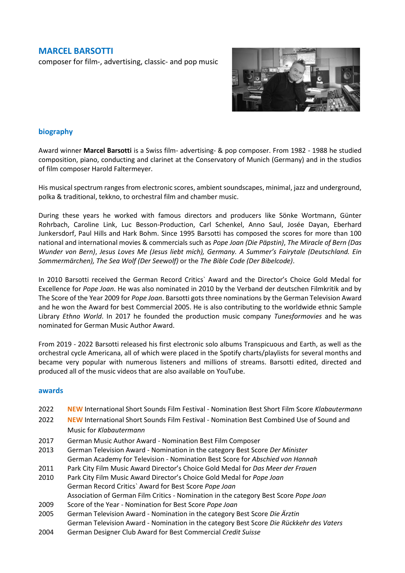### **MARCEL BARSOTTI**

composer for film-, advertising, classic- and pop music



#### **biography**

Award winner **Marcel Barsotti** is a Swiss film- advertising- & pop composer. From 1982 - 1988 he studied composition, piano, conducting and clarinet at the Conservatory of Munich (Germany) and in the studios of film composer Harold Faltermeyer.

His musical spectrum ranges from electronic scores, ambient soundscapes, minimal, jazz and underground, polka & traditional, tekkno, to orchestral film and chamber music.

During these years he worked with famous directors and producers like Sönke Wortmann, Günter Rohrbach, Caroline Link, Luc Besson-Production, Carl Schenkel, Anno Saul, Josée Dayan, Eberhard Junkersdorf, Paul Hills and Hark Bohm. Since 1995 Barsotti has composed the scores for more than 100 national and international movies & commercials such as *Pope Joan (Die Päpstin)*, *The Miracle of Bern (Das Wunder von Bern)*, *Jesus Loves Me (Jesus liebt mich), Germany. A Summer's Fairytale (Deutschland. Ein Sommermärchen), The Sea Wolf (Der Seewolf)* or the *The Bible Code (Der Bibelcode)*.

In 2010 Barsotti received the German Record Critics` Award and the Director's Choice Gold Medal for Excellence for *Pope Joan*. He was also nominated in 2010 by the Verband der deutschen Filmkritik and by The Score of the Year 2009 for *Pope Joan*. Barsotti gots three nominations by the German Television Award and he won the Award for best Commercial 2005. He is also contributing to the worldwide ethnic Sample Library *Ethno World*. In 2017 he founded the production music company *Tunesformovies* and he was nominated for German Music Author Award.

From 2019 - 2022 Barsotti released his first electronic solo albums Transpicuous and Earth, as well as the orchestral cycle Americana, all of which were placed in the Spotify charts/playlists for several months and became very popular with numerous listeners and millions of streams. Barsotti edited, directed and produced all of the music videos that are also available on YouTube.

#### **awards**

- 2022 **NEW** International Short Sounds Film Festival Nomination Best Short Film Score *Klabautermann*
- 2022 **NEW** International Short Sounds Film Festival Nomination Best Combined Use of Sound and Music for *Klabautermann*
- 2017 German Music Author Award Nomination Best Film Composer
- 2013 German Television Award Nomination in the category Best Score *Der Minister* German Academy for Television - Nomination Best Score for *Abschied von Hannah*
- 2011 Park City Film Music Award Director's Choice Gold Medal for *Das Meer der Frauen*
- 2010 Park City Film Music Award Director's Choice Gold Medal for *Pope Joan* German Record Critics` Award for Best Score *Pope Joan* Association of German Film Critics - Nomination in the category Best Score *Pope Joan*
- 2009 Score of the Year Nomination for Best Score *Pope Joan*
- 2005 German Television Award Nomination in the category Best Score *Die Ärztin* German Television Award - Nomination in the category Best Score *Die Rückkehr des Vaters*
- 2004 German Designer Club Award for Best Commercial *Credit Suisse*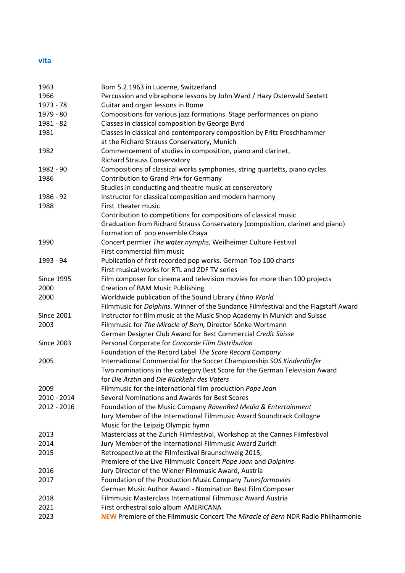## **vita**

| 1963              | Born 5.2.1963 in Lucerne, Switzerland                                                   |
|-------------------|-----------------------------------------------------------------------------------------|
| 1966              | Percussion and vibraphone lessons by John Ward / Hazy Osterwald Sextett                 |
| 1973 - 78         | Guitar and organ lessons in Rome                                                        |
| 1979 - 80         | Compositions for various jazz formations. Stage performances on piano                   |
| 1981 - 82         | Classes in classical composition by George Byrd                                         |
| 1981              | Classes in classical and contemporary composition by Fritz Froschhammer                 |
|                   | at the Richard Strauss Conservatory, Munich                                             |
| 1982              | Commencement of studies in composition, piano and clarinet,                             |
|                   | <b>Richard Strauss Conservatory</b>                                                     |
| 1982 - 90         | Compositions of classical works symphonies, string quartetts, piano cycles              |
| 1986              | Contribution to Grand Prix for Germany                                                  |
|                   | Studies in conducting and theatre music at conservatory                                 |
| 1986 - 92         | Instructor for classical composition and modern harmony                                 |
| 1988              | First theater music                                                                     |
|                   | Contribution to competitions for compositions of classical music                        |
|                   | Graduation from Richard Strauss Conservatory (composition, clarinet and piano)          |
|                   | Formation of pop ensemble Chaya                                                         |
| 1990              | Concert permier The water nymphs, Weilheimer Culture Festival                           |
|                   | First commercial film music                                                             |
| 1993 - 94         | Publication of first recorded pop works. German Top 100 charts                          |
|                   | First musical works for RTL and ZDF TV series                                           |
| <b>Since 1995</b> | Film composer for cinema and television movies for more than 100 projects               |
| 2000              | <b>Creation of BAM Music Publishing</b>                                                 |
| 2000              | Worldwide publication of the Sound Library Ethno World                                  |
|                   | Filmmusic for Dolphins. Winner of the Sundance Filmfestival and the Flagstaff Award     |
| <b>Since 2001</b> | Instructor for film music at the Music Shop Academy in Munich and Suisse                |
| 2003              | Filmmusic for The Miracle of Bern, Director Sönke Wortmann                              |
|                   | German Designer Club Award for Best Commercial Credit Suisse                            |
| <b>Since 2003</b> | Personal Corporate for Concorde Film Distribution                                       |
|                   | Foundation of the Record Label The Score Record Company                                 |
| 2005              | International Commercial for the Soccer Championship SOS Kinderdörfer                   |
|                   | Two nominations in the category Best Score for the German Television Award              |
|                   | for Die Ärztin and Die Rückkehr des Vaters                                              |
| 2009              | Filmmusic for the international film production Pope Joan                               |
| 2010 - 2014       | Several Nominations and Awards for Best Scores                                          |
| 2012 - 2016       | Foundation of the Music Company RavenRed Media & Entertainment                          |
|                   | Jury Member of the International Filmmusic Award Soundtrack Collogne                    |
|                   | Music for the Leipzig Olympic hymn                                                      |
| 2013              | Masterclass at the Zurich Filmfestival, Workshop at the Cannes Filmfestival             |
| 2014              | Jury Member of the International Filmmusic Award Zurich                                 |
| 2015              | Retrospective at the Filmfestival Braunschweig 2015,                                    |
|                   | Premiere of the Live Filmmusic Concert Pope Joan and Dolphins                           |
| 2016              | Jury Director of the Wiener Filmmusic Award, Austria                                    |
| 2017              | Foundation of the Production Music Company Tunesformovies                               |
|                   | German Music Author Award - Nomination Best Film Composer                               |
| 2018              | Filmmusic Masterclass International Filmmusic Award Austria                             |
| 2021              | First orchestral solo album AMERICANA                                                   |
| 2023              | <b>NEW</b> Premiere of the Filmmusic Concert The Miracle of Bern NDR Radio Philharmonie |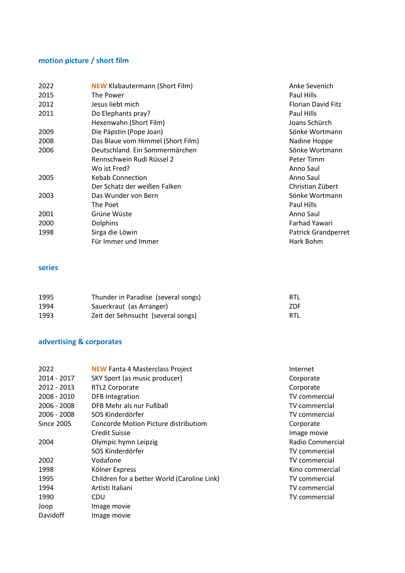# **motion picture / short film**

| 2022<br><b>NEW Klabautermann (Short Film)</b> | Anke Sevenich              |
|-----------------------------------------------|----------------------------|
| 2015<br>The Power                             | Paul Hills                 |
| 2012<br>Jesus liebt mich                      | <b>Florian David Fitz</b>  |
| 2011<br>Do Elephants pray?                    | Paul Hills                 |
| Hexenwahn (Short Film)                        | Joans Schürch              |
| Die Päpstin (Pope Joan)<br>2009               | Sönke Wortmann             |
| Das Blaue vom Himmel (Short Film)<br>2008     | Nadine Hoppe               |
| Deutschland. Ein Sommermärchen<br>2006        | Sönke Wortmann             |
| Rennschwein Rudi Rüssel 2                     | Peter Timm                 |
| Wo ist Fred?                                  | Anno Saul                  |
| <b>Kebab Connection</b><br>2005               | Anno Saul                  |
| Der Schatz der weißen Falken                  | Christian Zübert           |
| Das Wunder von Bern<br>2003                   | Sönke Wortmann             |
| The Poet                                      | Paul Hills                 |
| Grüne Wüste<br>2001                           | Anno Saul                  |
| 2000<br><b>Dolphins</b>                       | <b>Farhad Yawari</b>       |
| Sirga die Löwin<br>1998                       | <b>Patrick Grandperret</b> |
| Für Immer und Immer                           | Hark Bohm                  |

## **series**

| 1995 | Thunder in Paradise (several songs) | RTL        |
|------|-------------------------------------|------------|
| 1994 | Sauerkraut (as Arranger)            | <b>ZDF</b> |
| 1993 | Zeit der Sehnsucht (several songs)  | RTL        |

# **advertising & corporates**

| <b>NEW Fanta 4 Masterclass Project</b>      | Internet             |
|---------------------------------------------|----------------------|
| SKY Sport (as music producer)               | Corporate            |
| RTL2 Corporate                              | Corporate            |
| <b>DFB</b> Integration                      | <b>TV</b> commercial |
| DFB Mehr als nur Fußball                    | TV commercial        |
| SOS Kinderdörfer                            | <b>TV</b> commercial |
| Concorde Motion Picture distributiom        | Corporate            |
| <b>Credit Suisse</b>                        | Image movie          |
| Olympic hymn Leipzig                        | Radio Commercial     |
| SOS Kinderdörfer                            | TV commercial        |
| Vodafone                                    | <b>TV</b> commercial |
| Kölner Express                              | Kino commercial      |
| Children for a better World (Caroline Link) | TV commercial        |
| Artisti Italiani                            | <b>TV</b> commercial |
| CDU                                         | TV commercial        |
| Image movie                                 |                      |
| Image movie                                 |                      |
|                                             |                      |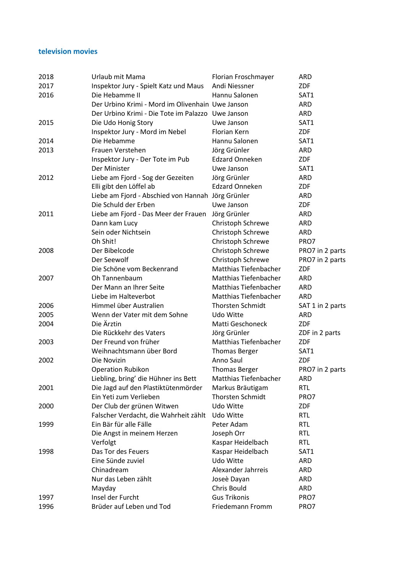#### **television movies**

| 2018 | Urlaub mit Mama                                   | Florian Froschmayer          | <b>ARD</b>       |
|------|---------------------------------------------------|------------------------------|------------------|
| 2017 | Inspektor Jury - Spielt Katz und Maus             | Andi Niessner                | ZDF              |
| 2016 | Die Hebamme II                                    | Hannu Salonen                | SAT1             |
|      | Der Urbino Krimi - Mord im Olivenhain Uwe Janson  |                              | <b>ARD</b>       |
|      | Der Urbino Krimi - Die Tote im Palazzo Uwe Janson |                              | <b>ARD</b>       |
| 2015 | Die Udo Honig Story                               | Uwe Janson                   | SAT1             |
|      | Inspektor Jury - Mord im Nebel                    | Florian Kern                 | ZDF              |
| 2014 | Die Hebamme                                       | Hannu Salonen                | SAT1             |
| 2013 | Frauen Verstehen                                  | Jörg Grünler                 | <b>ARD</b>       |
|      | Inspektor Jury - Der Tote im Pub                  | <b>Edzard Onneken</b>        | <b>ZDF</b>       |
|      | Der Minister                                      | Uwe Janson                   | SAT1             |
| 2012 | Liebe am Fjord - Sog der Gezeiten                 | Jörg Grünler                 | <b>ARD</b>       |
|      | Elli gibt den Löffel ab                           | <b>Edzard Onneken</b>        | ZDF              |
|      | Liebe am Fjord - Abschied von Hannah Jörg Grünler |                              | ARD              |
|      | Die Schuld der Erben                              | Uwe Janson                   | <b>ZDF</b>       |
| 2011 | Liebe am Fjord - Das Meer der Frauen              | Jörg Grünler                 | <b>ARD</b>       |
|      | Dann kam Lucy                                     | Christoph Schrewe            | <b>ARD</b>       |
|      | Sein oder Nichtsein                               | Christoph Schrewe            | <b>ARD</b>       |
|      | Oh Shit!                                          | Christoph Schrewe            | PRO7             |
| 2008 | Der Bibelcode                                     | Christoph Schrewe            | PRO7 in 2 parts  |
|      | Der Seewolf                                       | Christoph Schrewe            | PRO7 in 2 parts  |
|      | Die Schöne vom Beckenrand                         | Matthias Tiefenbacher        | ZDF              |
| 2007 | Oh Tannenbaum                                     | Matthias Tiefenbacher        | <b>ARD</b>       |
|      | Der Mann an Ihrer Seite                           | <b>Matthias Tiefenbacher</b> | <b>ARD</b>       |
|      | Liebe im Halteverbot                              | <b>Matthias Tiefenbacher</b> | <b>ARD</b>       |
| 2006 | Himmel über Australien                            | <b>Thorsten Schmidt</b>      | SAT 1 in 2 parts |
| 2005 | Wenn der Vater mit dem Sohne                      | Udo Witte                    | <b>ARD</b>       |
| 2004 | Die Ärztin                                        | Matti Geschoneck             | ZDF              |
|      | Die Rückkehr des Vaters                           | Jörg Grünler                 | ZDF in 2 parts   |
| 2003 | Der Freund von früher                             | Matthias Tiefenbacher        | ZDF              |
|      | Weihnachtsmann über Bord                          | <b>Thomas Berger</b>         | SAT1             |
| 2002 | Die Novizin                                       | Anno Saul                    | <b>ZDF</b>       |
|      | <b>Operation Rubikon</b>                          | <b>Thomas Berger</b>         | PRO7 in 2 parts  |
|      | Liebling, bring' die Hühner ins Bett              | Matthias Tiefenbacher        | <b>ARD</b>       |
| 2001 | Die Jagd auf den Plastiktütenmörder               | Markus Bräutigam             | RTL              |
|      | Ein Yeti zum Verlieben                            | <b>Thorsten Schmidt</b>      | PRO7             |
| 2000 | Der Club der grünen Witwen                        | Udo Witte                    | ZDF              |
|      | Falscher Verdacht, die Wahrheit zählt             | Udo Witte                    | <b>RTL</b>       |
| 1999 | Ein Bär für alle Fälle                            | Peter Adam                   | <b>RTL</b>       |
|      | Die Angst in meinem Herzen                        | Joseph Orr                   | <b>RTL</b>       |
|      | Verfolgt                                          | Kaspar Heidelbach            | <b>RTL</b>       |
| 1998 | Das Tor des Feuers                                | Kaspar Heidelbach            | SAT1             |
|      | Eine Sünde zuviel                                 | Udo Witte                    | <b>ARD</b>       |
|      | Chinadream                                        | Alexander Jahrreis           | <b>ARD</b>       |
|      | Nur das Leben zählt                               | Joseè Dayan                  | ARD              |
|      | Mayday                                            | Chris Bould                  | <b>ARD</b>       |
| 1997 | Insel der Furcht                                  | <b>Gus Trikonis</b>          | PRO7             |
| 1996 | Brüder auf Leben und Tod                          | Friedemann Fromm             | PRO7             |
|      |                                                   |                              |                  |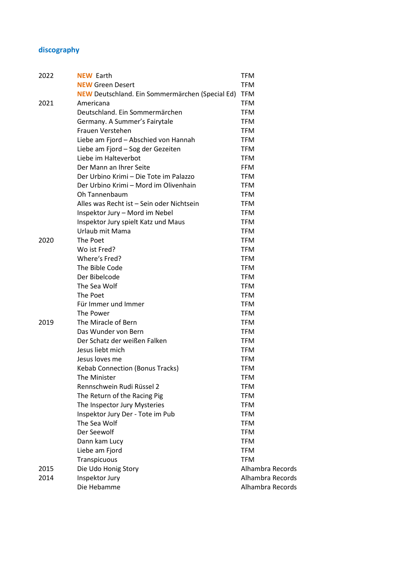# **discography**

| 2022 | <b>NEW Earth</b>                                       | TFM              |
|------|--------------------------------------------------------|------------------|
|      | <b>NEW Green Desert</b>                                | <b>TFM</b>       |
|      | <b>NEW</b> Deutschland. Ein Sommermärchen (Special Ed) | <b>TFM</b>       |
| 2021 | Americana                                              | <b>TFM</b>       |
|      | Deutschland. Ein Sommermärchen                         | <b>TFM</b>       |
|      | Germany. A Summer's Fairytale                          | <b>TFM</b>       |
|      | Frauen Verstehen                                       | <b>TFM</b>       |
|      | Liebe am Fjord - Abschied von Hannah                   | <b>TFM</b>       |
|      | Liebe am Fjord - Sog der Gezeiten                      | <b>TFM</b>       |
|      | Liebe im Halteverbot                                   | <b>TFM</b>       |
|      | Der Mann an Ihrer Seite                                | <b>FFM</b>       |
|      | Der Urbino Krimi – Die Tote im Palazzo                 | <b>TFM</b>       |
|      | Der Urbino Krimi – Mord im Olivenhain                  | <b>TFM</b>       |
|      | Oh Tannenbaum                                          | <b>TFM</b>       |
|      | Alles was Recht ist - Sein oder Nichtsein              | <b>TFM</b>       |
|      | Inspektor Jury - Mord im Nebel                         | <b>TFM</b>       |
|      | Inspektor Jury spielt Katz und Maus                    | <b>TFM</b>       |
|      | Urlaub mit Mama                                        | <b>TFM</b>       |
| 2020 | The Poet                                               | <b>TFM</b>       |
|      | Wo ist Fred?                                           | <b>TFM</b>       |
|      | Where's Fred?                                          | <b>TFM</b>       |
|      | The Bible Code                                         | <b>TFM</b>       |
|      | Der Bibelcode                                          | <b>TFM</b>       |
|      | The Sea Wolf                                           | <b>TFM</b>       |
|      | The Poet                                               | <b>TFM</b>       |
|      | Für Immer und Immer                                    | <b>TFM</b>       |
|      | The Power                                              | <b>TFM</b>       |
| 2019 | The Miracle of Bern                                    | <b>TFM</b>       |
|      | Das Wunder von Bern                                    | <b>TFM</b>       |
|      | Der Schatz der weißen Falken                           | <b>TFM</b>       |
|      | Jesus liebt mich                                       | <b>TFM</b>       |
|      | Jesus loves me                                         | <b>TFM</b>       |
|      | <b>Kebab Connection (Bonus Tracks)</b>                 | <b>TFM</b>       |
|      | The Minister                                           | TFM              |
|      | Rennschwein Rudi Rüssel 2                              | <b>TFM</b>       |
|      | The Return of the Racing Pig                           | <b>TFM</b>       |
|      | The Inspector Jury Mysteries                           | <b>TFM</b>       |
|      | Inspektor Jury Der - Tote im Pub                       | <b>TFM</b>       |
|      | The Sea Wolf                                           | <b>TFM</b>       |
|      | Der Seewolf                                            | <b>TFM</b>       |
|      | Dann kam Lucy                                          | <b>TFM</b>       |
|      | Liebe am Fjord                                         | <b>TFM</b>       |
|      | Transpicuous                                           | <b>TFM</b>       |
| 2015 | Die Udo Honig Story                                    | Alhambra Records |
| 2014 | Inspektor Jury                                         | Alhambra Records |
|      | Die Hebamme                                            | Alhambra Records |